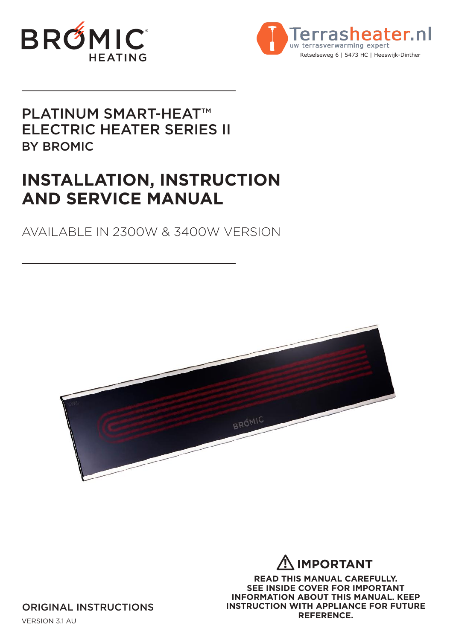



## PLATINUM SMART-HEAT™ ELECTRIC HEATER SERIES II BY BROMIC

# **INSTALLATION, INSTRUCTION AND SERVICE MANUAL**

## AVAILABLE IN 2300W & 3400W VERSION



### **IMPORTANT !**

**READ THIS MANUAL CAREFULLY. SEE INSIDE COVER FOR IMPORTANT INFORMATION ABOUT THIS MANUAL. KEEP INSTRUCTION WITH APPLIANCE FOR FUTURE REFERENCE.**

ORIGINAL INSTRUCTIONS

VERSION 3.1 AU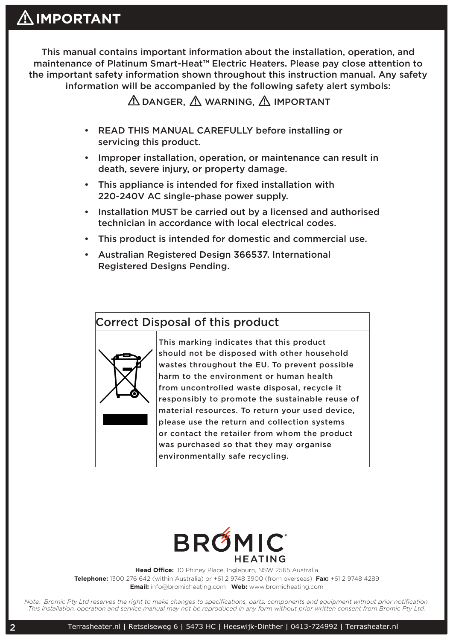This manual contains important information about the installation, operation, and maintenance of Platinum Smart-Heat™ Electric Heaters. Please pay close attention to the important safety information shown throughout this instruction manual. Any safety information will be accompanied by the following safety alert symbols:

**AS DANGER, AND WARNING, AND IMPORTANT** 

- READ THIS MANUAL CAREFULLY before installing or servicing this product.
- Improper installation, operation, or maintenance can result in death, severe injury, or property damage.
- This appliance is intended for fixed installation with 220-240V AC single-phase power supply.
- Installation MUST be carried out by a licensed and authorised technician in accordance with local electrical codes.
- This product is intended for domestic and commercial use.
- Australian Registered Design 366537. International Registered Designs Pending.

### Correct Disposal of this product



This marking indicates that this product should not be disposed with other household wastes throughout the EU. To prevent possible harm to the environment or human health from uncontrolled waste disposal, recycle it responsibly to promote the sustainable reuse of material resources. To return your used device, please use the return and collection systems or contact the retailer from whom the product was purchased so that they may organise environmentally safe recycling.



**Head Office:** 10 Phiney Place, Ingleburn, NSW 2565 Australia **Telephone:** 1300 276 642 (within Australia) or +61 2 9748 3900 (from overseas) **Fax:** +61 2 9748 4289 **Email:** info@bromicheating.com **Web:** www.bromicheating.com

*Note: Bromic Pty Ltd reserves the right to make changes to specifications, parts, components and equipment without prior notification. This installation, operation and service manual may not be reproduced in any form without prior written consent from Bromic Pty Ltd.*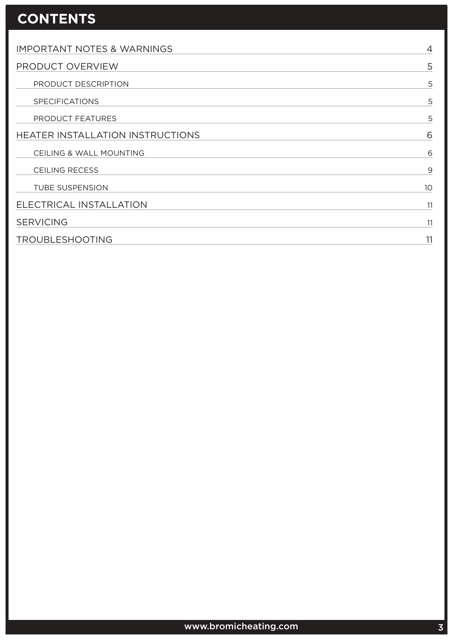# **CONTENTS**

| <b>IMPORTANT NOTES &amp; WARNINGS</b> | $\overline{4}$ |
|---------------------------------------|----------------|
| PRODUCT OVERVIEW                      |                |
| PRODUCT DESCRIPTION                   | 5              |
| <b>SPECIFICATIONS</b>                 | 5              |
| PRODUCT FEATURES                      | 5              |
| HEATER INSTALLATION INSTRUCTIONS      | 6              |
| CEILING & WALL MOUNTING               | 6              |
| <b>CEILING RECESS</b>                 | 9              |
| <b>TUBE SUSPENSION</b>                | 10             |
| ELECTRICAL INSTALLATION               | 11             |
| <b>SERVICING</b>                      | 11             |
| <b>TROUBLESHOOTING</b>                |                |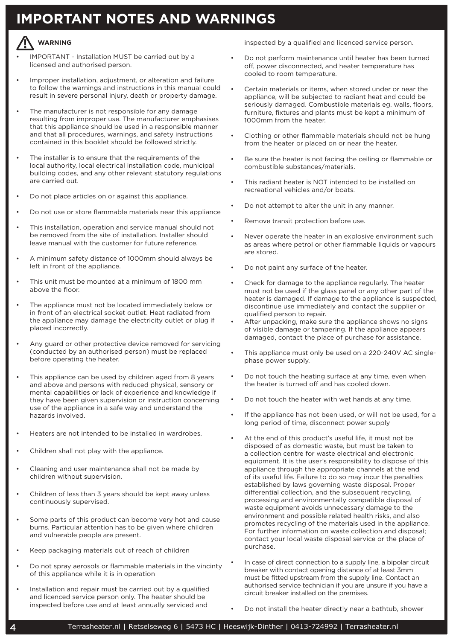## **IMPORTANT NOTES AND WARNINGS**

### **WARNING !**

- IMPORTANT Installation MUST be carried out by a licensed and authorised person.
- Improper installation, adjustment, or alteration and failure to follow the warnings and instructions in this manual could result in severe personal injury, death or property damage.
- The manufacturer is not responsible for any damage resulting from improper use. The manufacturer emphasises that this appliance should be used in a responsible manner and that all procedures, warnings, and safety instructions contained in this booklet should be followed strictly.
- The installer is to ensure that the requirements of the local authority, local electrical installation code, municipal building codes, and any other relevant statutory regulations are carried out.
- Do not place articles on or against this appliance.
- Do not use or store flammable materials near this appliance
- This installation, operation and service manual should not be removed from the site of installation. Installer should leave manual with the customer for future reference.
- A minimum safety distance of 1000mm should always be left in front of the appliance.
- This unit must be mounted at a minimum of 1800 mm above the floor.
- The appliance must not be located immediately below or in front of an electrical socket outlet. Heat radiated from the appliance may damage the electricity outlet or plug if placed incorrectly.
- Any guard or other protective device removed for servicing (conducted by an authorised person) must be replaced before operating the heater.
- This appliance can be used by children aged from 8 years and above and persons with reduced physical, sensory or mental capabilities or lack of experience and knowledge if they have been given supervision or instruction concerning use of the appliance in a safe way and understand the hazards involved.
- Heaters are not intended to be installed in wardrobes.
- Children shall not play with the appliance.
- Cleaning and user maintenance shall not be made by children without supervision.
- Children of less than 3 years should be kept away unless continuously supervised.
- Some parts of this product can become very hot and cause burns. Particular attention has to be given where children and vulnerable people are present.
- Keep packaging materials out of reach of children
- Do not spray aerosols or flammable materials in the vincinty of this appliance while it is in operation
- Installation and repair must be carried out by a qualified and licenced service person only. The heater should be inspected before use and at least annually serviced and

inspected by a qualified and licenced service person.

- Do not perform maintenance until heater has been turned off, power disconnected, and heater temperature has cooled to room temperature.
- Certain materials or items, when stored under or near the appliance, will be subjected to radiant heat and could be seriously damaged. Combustible materials eg. walls, floors, furniture, fixtures and plants must be kept a minimum of 1000mm from the heater.
- Clothing or other flammable materials should not be hung from the heater or placed on or near the heater.
- Be sure the heater is not facing the ceiling or flammable or combustible substances/materials.
- This radiant heater is NOT intended to be installed on recreational vehicles and/or boats.
- Do not attempt to alter the unit in any manner.
- Remove transit protection before use.
- Never operate the heater in an explosive environment such as areas where petrol or other flammable liquids or vapours are stored.
- Do not paint any surface of the heater.
- Check for damage to the appliance regularly. The heater must not be used if the glass panel or any other part of the heater is damaged. If damage to the appliance is suspected, discontinue use immediately and contact the supplier or qualified person to repair.
- After unpacking, make sure the appliance shows no signs of visible damage or tampering. If the appliance appears damaged, contact the place of purchase for assistance.
- This appliance must only be used on a 220-240V AC singlephase power supply.
- Do not touch the heating surface at any time, even when the heater is turned off and has cooled down.
- Do not touch the heater with wet hands at any time.
- If the appliance has not been used, or will not be used, for a long period of time, disconnect power supply
- At the end of this product's useful life, it must not be disposed of as domestic waste, but must be taken to a collection centre for waste electrical and electronic equipment. It is the user's responsibility to dispose of this appliance through the appropriate channels at the end of its useful life. Failure to do so may incur the penalties established by laws governing waste disposal. Proper differential collection, and the subsequent recycling, processing and environmentally compatible disposal of waste equipment avoids unnecessary damage to the environment and possible related health risks, and also promotes recycling of the materials used in the appliance. For further information on waste collection and disposal; contact your local waste disposal service or the place of purchase.
- In case of direct connection to a supply line, a bipolar circuit breaker with contact opening distance of at least 3mm must be fitted upstream from the supply line. Contact an authorised service technician if you are unsure if you have a circuit breaker installed on the premises.
- Do not install the heater directly near a bathtub, shower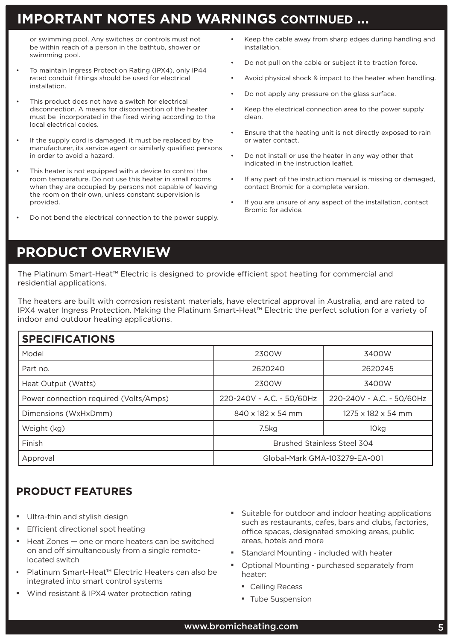## **IMPORTANT NOTES AND WARNINGS CONTINUED ...**

or swimming pool. Any switches or controls must not be within reach of a person in the bathtub, shower or swimming pool.

- To maintain Ingress Protection Rating (IPX4), only IP44 rated conduit fittings should be used for electrical installation.
- This product does not have a switch for electrical disconnection. A means for disconnection of the heater must be incorporated in the fixed wiring according to the local electrical codes.
- If the supply cord is damaged, it must be replaced by the manufacturer, its service agent or similarly qualified persons in order to avoid a hazard.
- This heater is not equipped with a device to control the room temperature. Do not use this heater in small rooms when they are occupied by persons not capable of leaving the room on their own, unless constant supervision is provided.
- Do not bend the electrical connection to the power supply.
- Keep the cable away from sharp edges during handling and installation.
- Do not pull on the cable or subject it to traction force.
- Avoid physical shock & impact to the heater when handling.
- Do not apply any pressure on the glass surface.
- Keep the electrical connection area to the power supply clean.
- Ensure that the heating unit is not directly exposed to rain or water contact.
- Do not install or use the heater in any way other that indicated in the instruction leaflet.
- If any part of the instruction manual is missing or damaged, contact Bromic for a complete version.
- If you are unsure of any aspect of the installation, contact Bromic for advice.

## **PRODUCT OVERVIEW**

The Platinum Smart-Heat™ Electric is designed to provide efficient spot heating for commercial and residential applications.

The heaters are built with corrosion resistant materials, have electrical approval in Australia, and are rated to IPX4 water Ingress Protection. Making the Platinum Smart-Heat™ Electric the perfect solution for a variety of indoor and outdoor heating applications.

### **SPECIFICATIONS**

| 9 EST RATION                           |                                    |                                |  |  |
|----------------------------------------|------------------------------------|--------------------------------|--|--|
| Model                                  | 2300W<br>3400W                     |                                |  |  |
| Part no.                               | 2620240                            | 2620245                        |  |  |
| Heat Output (Watts)                    | 2300W                              | 3400W                          |  |  |
| Power connection required (Volts/Amps) | 220-240V - A.C. - 50/60Hz          | 220-240V - A.C. - 50/60Hz      |  |  |
| Dimensions (WxHxDmm)                   | 840 x 182 x 54 mm                  | $1275 \times 182 \times 54$ mm |  |  |
| Weight (kg)                            | 7.5kg                              | 10kg                           |  |  |
| Finish                                 | <b>Brushed Stainless Steel 304</b> |                                |  |  |
| Approval                               | Global-Mark GMA-103279-EA-001      |                                |  |  |

### **PRODUCT FEATURES**

- Ultra-thin and stylish design
- Efficient directional spot heating
- Heat Zones one or more heaters can be switched on and off simultaneously from a single remotelocated switch
- Platinum Smart-Heat™ Electric Heaters can also be integrated into smart control systems
- Wind resistant & IPX4 water protection rating
- Suitable for outdoor and indoor heating applications such as restaurants, cafes, bars and clubs, factories, office spaces, designated smoking areas, public areas, hotels and more
- **Example 1** Standard Mounting included with heater
- Optional Mounting purchased separately from heater:
	- Ceiling Recess
	- **· Tube Suspension**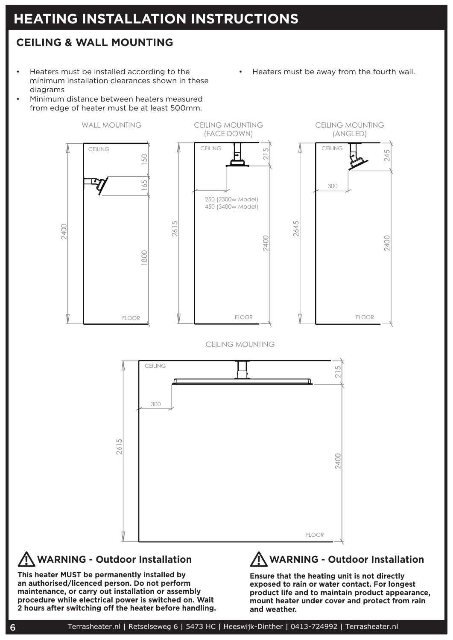# **HEATING INSTALLATION INSTRUCTIONS**

### **CEILING & WALL MOUNTING**

• Heaters must be installed according to the minimum installation clearances shown in these diagrams

• Minimum distance between heaters measured from edge of heater must be at least 500mm. • Heaters must be away from the fourth wall.



## **WARNING - Outdoor Installation**

**This heater MUST be permanently installed by an authorised/licenced person. Do not perform maintenance, or carry out installation or assembly procedure while electrical power is switched on. Wait 2 hours after switching off the heater before handling.**

**Ensure that the heating unit is not directly exposed to rain or water contact. For longest product life and to maintain product appearance, mount heater under cover and protect from rain and weather.**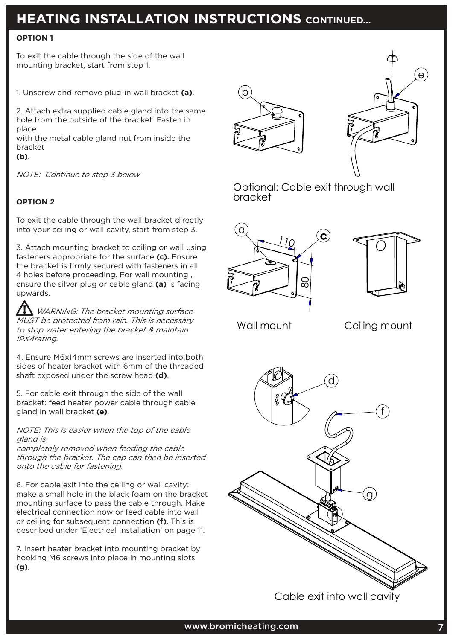# **HEATING INSTALLATION INSTRUCTIONS CONTINUED...**

### **OPTION 1**

To exit the cable through the side of the wall mounting bracket, start from step 1.

1. Unscrew and remove plug-in wall bracket **(a)**.

2. Attach extra supplied cable gland into the same hole from the outside of the bracket. Fasten in place

with the metal cable gland nut from inside the bracket

**(b)**.

NOTE: Continue to step 3 below

### **OPTION 2**

To exit the cable through the wall bracket directly into your ceiling or wall cavity, start from step 3.

3. Attach mounting bracket to ceiling or wall using fasteners appropriate for the surface **(c).** Ensure the bracket is firmly secured with fasteners in all 4 holes before proceeding. For wall mounting , ensure the silver plug or cable gland **(a)** is facing upwards.

**!** WARNING: The bracket mounting surface MUST be protected from rain. This is necessary to stop water entering the bracket & maintain IPX4rating.

4. Ensure M6x14mm screws are inserted into both sides of heater bracket with 6mm of the threaded shaft exposed under the screw head **(d)**.

5. For cable exit through the side of the wall bracket: feed heater power cable through cable gland in wall bracket **(e)**.

NOTE: This is easier when the top of the cable gland is

completely removed when feeding the cable through the bracket. The cap can then be inserted onto the cable for fastening.

6. For cable exit into the ceiling or wall cavity: make a small hole in the black foam on the bracket mounting surface to pass the cable through. Make electrical connection now or feed cable into wall or ceiling for subsequent connection **(f)**. This is described under 'Electrical Installation' on page 11.

7. Insert heater bracket into mounting bracket by hooking M6 screws into place in mounting slots **(g)**.





Optional: Cable exit through wall bracket





Wall mount Ceiling mount



Cable exit into wall cavity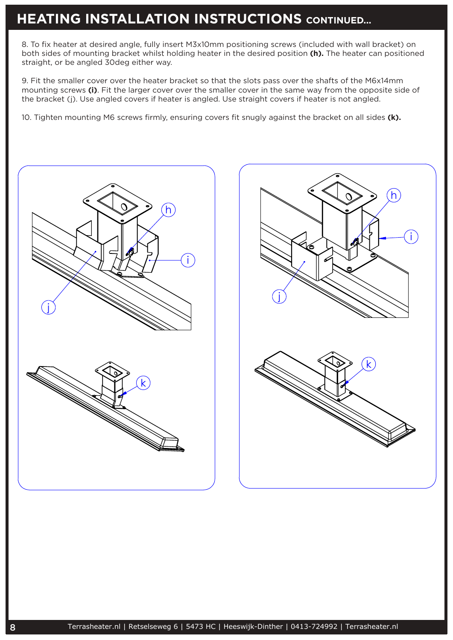### **HEATING INSTALLATION INSTRUCTIONS** CONTINUED...  $\mathcal{P}_\text{max}$  and the smaller cover the slots pass over the slots pass over the slots pass over the slots pass over smaller cover in the same way from the opposite side of the bracket (j).

8. To fix heater at desired angle, fully insert M3x10mm positioning screws (included with wall bracket) on 8. To fix heater at desired angle, fully insert MSXTOMM positioning screws (included with wall pracket) on<br>both sides of mounting bracket whilst holding heater in the desired position **(h).** The heater can positioned both sides of modifting bracket written in<br>straight, or be angled 30deg either way.

9. Fit the smaller cover over the heater bracket so that the slots pass over the shafts of the M6x14mm mounting screws (i). Fit the larger cover over the smaller cover in the same way from the opposite side of the bracket (j). Use angled covers if heater is angled. Use straight covers if heater is not angled.

10. Tighten mounting M6 screws firmly, ensuring covers fit snugly against the bracket on all sides **(k).**



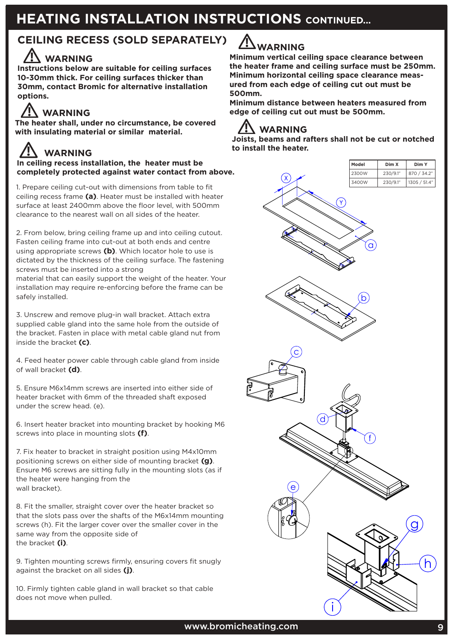# **HEATING INSTALLATION INSTRUCTIONS CONTINUED...**

## **CEILING RECESS (SOLD SEPARATELY)**

### **WARNING !**

**Instructions below are suitable for ceiling surfaces 10-30mm thick. For ceiling surfaces thicker than 30mm, contact Bromic for alternative installation options.** 

**The heater shall, under no circumstance, be covered with insulating material or similar material. /// WARNING** 

### **WARNING !**

**In ceiling recess installation, the heater must be completely protected against water contact from above.**

1. Prepare ceiling cut-out with dimensions from table to fit ceiling recess frame **(a)**. Heater must be installed with heater surface at least 2400mm above the floor level, with 500mm clearance to the nearest wall on all sides of the heater.

2. From below, bring ceiling frame up and into ceiling cutout. Fasten ceiling frame into cut-out at both ends and centre using appropriate screws **(b)**. Which locator hole to use is dictated by the thickness of the ceiling surface. The fastening screws must be inserted into a strong

material that can easily support the weight of the heater. Your installation may require re-enforcing before the frame can be safely installed.

3. Unscrew and remove plug-in wall bracket. Attach extra supplied cable gland into the same hole from the outside of the bracket. Fasten in place with metal cable gland nut from inside the bracket **(c)**.

4. Feed heater power cable through cable gland from inside of wall bracket **(d)**.

5. Ensure M6x14mm screws are inserted into either side of heater bracket with 6mm of the threaded shaft exposed under the screw head. (e).

6. Insert heater bracket into mounting bracket by hooking M6 screws into place in mounting slots **(f)**.

7. Fix heater to bracket in straight position using M4x10mm positioning screws on either side of mounting bracket **(g)**. Ensure M6 screws are sitting fully in the mounting slots (as if the heater were hanging from the wall bracket).

8. Fit the smaller, straight cover over the heater bracket so that the slots pass over the shafts of the M6x14mm mounting screws (h). Fit the larger cover over the smaller cover in the same way from the opposite side of the bracket **(i)**.

9. Tighten mounting screws firmly, ensuring covers fit snugly against the bracket on all sides **(j)**.

10. Firmly tighten cable gland in wall bracket so that cable does not move when pulled.



# **! WARNING**

**Minimum vertical ceiling space clearance between the heater frame and ceiling surface must be 250mm. Minimum horizontal ceiling space clearance measured from each edge of ceiling cut out must be 500mm.**

**Minimum distance between heaters measured from ! WARNING edge of ceiling cut out must be 500mm.**

**Joists, beams and rafters shall not be cut or notched to install the heater.**



i

i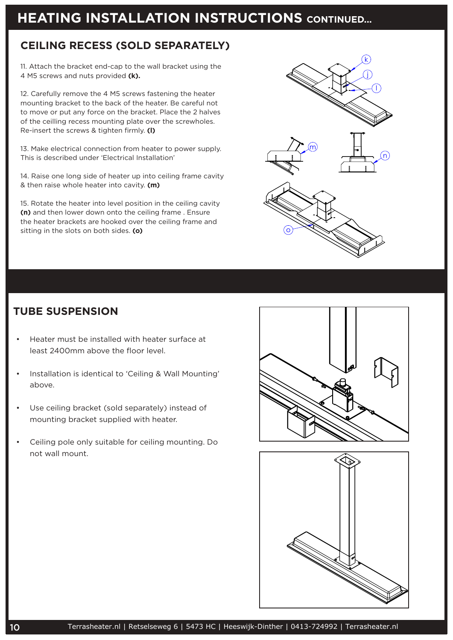# **HEATING INSTALLATION INSTRUCTIONS** CONTINUED...

place and tighten firmly. (l)

### **CEILING RECESS (SOLD SEPARATELY)**

11. Attach the bracket end-cap to the wall bracket using the 4 M5 screws and nuts provided **(k).**

12. Carefully remove the 4 M5 screws fastening the heater mounting bracket to the back of the heater. Be careful not to move or put any force on the bracket. Place the 2 halves of the ceilling recess mounting plate over the screwholes. Re-insert the screws & tighten firmly. **(l)** (m) 15. Rotate the heater into level position in the

13. Make electrical connection from heater to power supply. This is described under 'Electrical Installation'

14. Raise one long side of heater up into ceiling frame cavity & then raise whole heater into cavity. **(m)**

15. Rotate the heater into level position in the ceiling cavity **(n)** and then lower down onto the ceiling frame . Ensure the heater brackets are hooked over the ceiling frame and sitting in the slots on both sides. **(o)**



### **TUBE SUSPENSION**

- Heater must be installed with heater surface at least 2400mm above the floor level.
- Installation is identical to 'Ceiling & Wall Mounting' above.
- Use ceiling bracket (sold separately) instead of mounting bracket supplied with heater.
- Ceiling pole only suitable for ceiling mounting. Do not wall mount.



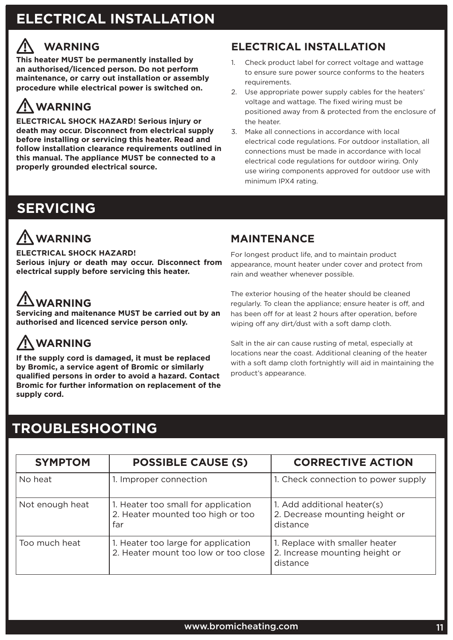# **ELECTRICAL INSTALLATION**

## **! WARNING**

**This heater MUST be permanently installed by an authorised/licenced person. Do not perform maintenance, or carry out installation or assembly procedure while electrical power is switched on.**

### **WARNING !**

**ELECTRICAL SHOCK HAZARD! Serious injury or death may occur. Disconnect from electrical supply before installing or servicing this heater. Read and follow installation clearance requirements outlined in this manual. The appliance MUST be connected to a properly grounded electrical source.**

# **SERVICING**

### **WARNING !**

**ELECTRICAL SHOCK HAZARD! Serious injury or death may occur. Disconnect from electrical supply before servicing this heater.**

### **WARNING !**

**Servicing and maitenance MUST be carried out by an authorised and licenced service person only.** 

### **WARNING !**

**If the supply cord is damaged, it must be replaced by Bromic, a service agent of Bromic or similarly qualified persons in order to avoid a hazard. Contact Bromic for further information on replacement of the supply cord.** 

### **MAINTENANCE**

minimum IPX4 rating.

requirements.

the heater.

For longest product life, and to maintain product appearance, mount heater under cover and protect from rain and weather whenever possible.

1. Check product label for correct voltage and wattage to ensure sure power source conforms to the heaters

**ELECTRICAL INSTALLATION**

2. Use appropriate power supply cables for the heaters' voltage and wattage. The fixed wiring must be

3. Make all connections in accordance with local

positioned away from & protected from the enclosure of

electrical code regulations. For outdoor installation, all connections must be made in accordance with local electrical code regulations for outdoor wiring. Only use wiring components approved for outdoor use with

The exterior housing of the heater should be cleaned regularly. To clean the appliance; ensure heater is off, and has been off for at least 2 hours after operation, before wiping off any dirt/dust with a soft damp cloth.

Salt in the air can cause rusting of metal, especially at locations near the coast. Additional cleaning of the heater with a soft damp cloth fortnightly will aid in maintaining the product's appearance.

## **TROUBLESHOOTING**

| <b>SYMPTOM</b>  | <b>POSSIBLE CAUSE (S)</b>                                                       | <b>CORRECTIVE ACTION</b>                                                     |
|-----------------|---------------------------------------------------------------------------------|------------------------------------------------------------------------------|
| No heat         | 1. Improper connection                                                          | 1. Check connection to power supply                                          |
| Not enough heat | 1. Heater too small for application<br>2. Heater mounted too high or too<br>far | 1. Add additional heater(s)<br>2. Decrease mounting height or<br>distance    |
| Too much heat   | 1. Heater too large for application<br>2. Heater mount too low or too close     | 1. Replace with smaller heater<br>2. Increase mounting height or<br>distance |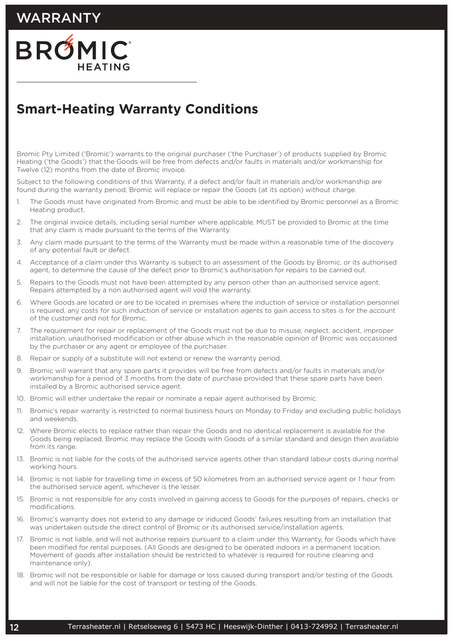## WARRANTY



# **Smart-Heating Warranty Conditions**

Bromic Pty Limited ('Bromic') warrants to the original purchaser ('the Purchaser') of products supplied by Bromic Heating ('the Goods') that the Goods will be free from defects and/or faults in materials and/or workmanship for Twelve (12) months from the date of Bromic invoice.

Subject to the following conditions of this Warranty, if a defect and/or fault in materials and/or workmanship are found during the warranty period, Bromic will replace or repair the Goods (at its option) without charge.

- 1. The Goods must have originated from Bromic and must be able to be identified by Bromic personnel as a Bromic Heating product.
- 2. The original invoice details, including serial number where applicable, MUST be provided to Bromic at the time that any claim is made pursuant to the terms of the Warranty.
- 3. Any claim made pursuant to the terms of the Warranty must be made within a reasonable time of the discovery of any potential fault or defect.
- 4. Acceptance of a claim under this Warranty is subject to an assessment of the Goods by Bromic, or its authorised agent, to determine the cause of the defect prior to Bromic's authorisation for repairs to be carried out.
- 5. Repairs to the Goods must not have been attempted by any person other than an authorised service agent. Repairs attempted by a non authorised agent will void the warranty.
- 6. Where Goods are located or are to be located in premises where the induction of service or installation personnel is required, any costs for such induction of service or installation agents to gain access to sites is for the account of the customer and not for Bromic.
- 7. The requirement for repair or replacement of the Goods must not be due to misuse, neglect, accident, improper installation, unauthorised modification or other abuse which in the reasonable opinion of Bromic was occasioned by the purchaser or any agent or employee of the purchaser.
- 8. Repair or supply of a substitute will not extend or renew the warranty period.
- 9. Bromic will warrant that any spare parts it provides will be free from defects and/or faults in materials and/or workmanship for a period of 3 months from the date of purchase provided that these spare parts have been installed by a Bromic authorised service agent.
- 10. Bromic will either undertake the repair or nominate a repair agent authorised by Bromic.
- 11. Bromic's repair warranty is restricted to normal business hours on Monday to Friday and excluding public holidays and weekends.
- 12. Where Bromic elects to replace rather than repair the Goods and no identical replacement is available for the Goods being replaced, Bromic may replace the Goods with Goods of a similar standard and design then available from its range
- 13. Bromic is not liable for the costs of the authorised service agents other than standard labour costs during normal working hours.
- 14. Bromic is not liable for travelling time in excess of 50 kilometres from an authorised service agent or 1 hour from the authorised service agent, whichever is the lesser.
- 15. Bromic is not responsible for any costs involved in gaining access to Goods for the purposes of repairs, checks or modifications.
- 16. Bromic's warranty does not extend to any damage or induced Goods' failures resulting from an installation that was undertaken outside the direct control of Bromic or its authorised service/installation agents.
- 17. Bromic is not liable, and will not authorise repairs pursuant to a claim under this Warranty, for Goods which have been modified for rental purposes. (All Goods are designed to be operated indoors in a permanent location. Movement of goods after installation should be restricted to whatever is required for routine cleaning and maintenance only).
- 18. Bromic will not be responsible or liable for damage or loss caused during transport and/or testing of the Goods and will not be liable for the cost of transport or testing of the Goods.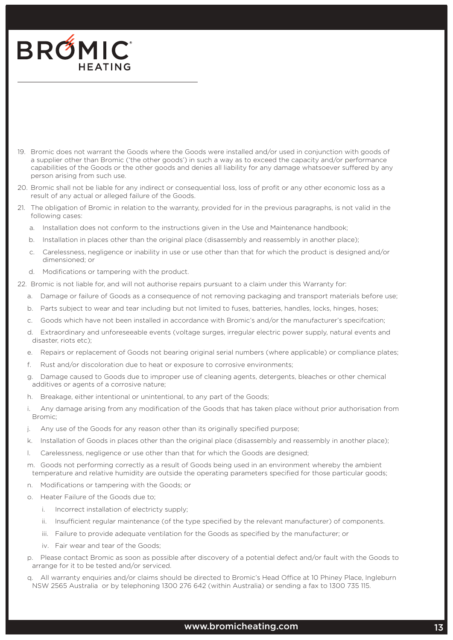

- .<br>19. Bromic does not warrant the Goods where the Goods were installed and/or used in conjunction with goods of a supplier other than Bromic ('the other goods') in such a way as to exceed the capacity and/or performance capabilities of the Goods or the other goods and denies all liability for any damage whatsoever suffered by any person arising from such use. **Dromic does not warrant the Goods where the Goods**
- 20. Bromic shall not be liable for any indirect or consequential loss, loss of profit or any other economic loss as a result of any actual or alleged failure of the Goods.
- 21. The obligation of Bromic in relation to the warranty, provided for in the previous paragraphs, is not valid in the<br>Collians in the Sali following cases:
	- a. Installation does not conform to the instructions given in the Use and Maintenance handbook;
- b. Installation in places other than the original place (disassembly and reassembly in another place);
	- c. Carelessness, negligence or inability in use or use other than that for which the product is designed and/or dimensioned; or
	- d. Modifications or tampering with the product.
- 22. Bromic is not liable for, and will not authorise repairs pursuant to a claim under this Warranty for:
	- a. Damage or failure of Goods as a consequence of not removing packaging and transport materials before use; disage or Tallum.<br>.
	- b. Parts subject to wear and tear including but not limited to fuses, batteries, handles, locks, hinges, hoses;
	- c. Goods which have not been installed in accordance with Bromic's and/or the manufacturer's specifcation;<br>.
	- d. Extraordinary and unforeseeable events (voltage surges, irregular electric power supply, natural events and<br>g. Damage cause of cleaning and the microperius or other chemical chemical chemical chemical chemical chemical disaster, riots etc);
	- e. Repairs or replacement of Goods not bearing original serial numbers (where applicable) or compliance plates;<br>.
	- f. Rust and/or discoloration due to heat or exposure to corrosive environments;
	- g. Damage caused to Goods due to improper use of cleaning agents, detergents, bleaches or other chemical additives or agents of a corrosive nature;
	- h. Breakage, either intentional or unintentional, to any part of the Goods;
	- i. Any damage arising from any modification of the Goods that has taken place without prior authorisation from<br>Designed; Bromic;
	- j. Any use of the Goods for any reason other than its originally specified purpose; Arty use of the Goods for any reason other than its originally specified purpose,
	- k. Installation of Goods in places other than the original place (disassembly and reassembly in another place);<br>.
	- l. Carelessness, negligence or use other than that for which the Goods are designed;
	- m. Goods not performing correctly as a result of Goods being used in an environment whereby the ambient temperature and relative humidity are outside the operating parameters specified for those particular goods;
	- n. Modifications or tampering with the Goods; or **interally of the type specified by the relevant manufacturer**
	- o. Heater Failure of the Goods due to;<br>intervention for the manufacturer; or the manufacturer; or the manufacturer; or the manufacturer; or the manuf
		- i. Incorrect installation of electricty supply;
	- ii. Insufficient regular maintenance (of the type specified by the relevant manufacturer) of components. ii. Inisumcient regular maintenance (or
	- iii. Failure to provide adequate ventilation for the Goods as specified by the manufacturer; or
		- iv. Fair wear and tear of the Goods; and the sending a fax to 1300  $\mu$  and 1300  $\mu$
	- p. Please contact Bromic as soon as possible after discovery of a potential defect and/or fault with the Goods to arrange for it to be tested and/or serviced.
	- q. All warranty enquiries and/or claims should be directed to Bromic's Head Office at 10 Phiney Place, Ingleburn NSW 2565 Australia or by telephoning 1300 276 642 (within Australia) or sending a fax to 1300 735 115.